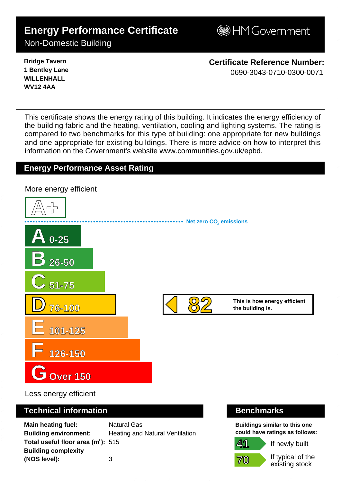# **Energy Performance Certificate**

**B**HM Government

Non-Domestic Building

**Bridge Tavern 1 Bentley Lane WILLENHALL WV12 4AA**

**Certificate Reference Number:** 0690-3043-0710-0300-0071

This certificate shows the energy rating of this building. It indicates the energy efficiency of the building fabric and the heating, ventilation, cooling and lighting systems. The rating is compared to two benchmarks for this type of building: one appropriate for new buildings and one appropriate for existing buildings. There is more advice on how to interpret this information on the Government's websit[e www.communities.gov.uk/epbd.](http://www.communities.gov.uk/epbd)

## **Energy Performance Asset Rating**



Less energy efficient

### **Technical information Benchmarks**

**Main heating fuel:** Natural Gas **Building environment:** Heating and Natural Ventilation **Total useful floor area (m<sup>2</sup>): 515 Building complexity (NOS level):** 3

**Buildings similar to this one could have ratings as follows:**



If newly built

If typical of the existing stock